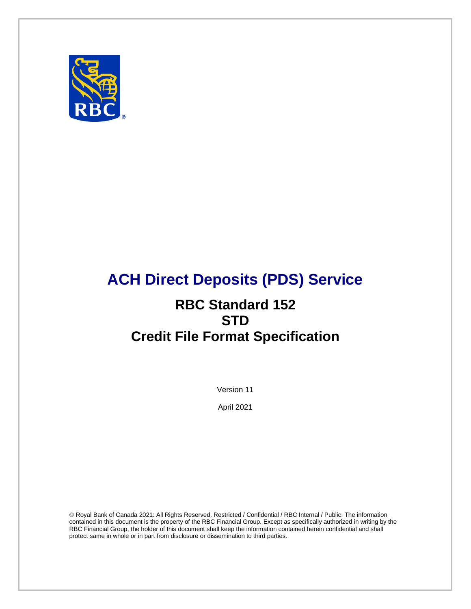

# **ACH Direct Deposits (PDS) Service**

# **RBC Standard 152 STD Credit File Format Specification**

Version 11

April 2021

 Royal Bank of Canada 2021: All Rights Reserved. Restricted / Confidential / RBC Internal / Public: The information contained in this document is the property of the RBC Financial Group. Except as specifically authorized in writing by the RBC Financial Group, the holder of this document shall keep the information contained herein confidential and shall protect same in whole or in part from disclosure or dissemination to third parties.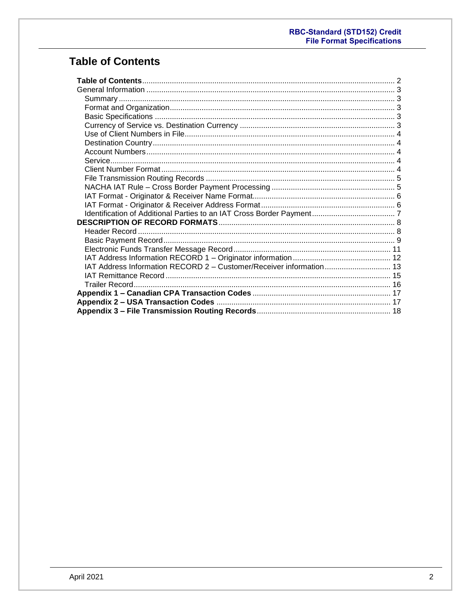# <span id="page-1-0"></span>**Table of Contents**

| 13 Address Information RECORD 2 - Customer/Receiver information 13 |  |
|--------------------------------------------------------------------|--|
|                                                                    |  |
|                                                                    |  |
|                                                                    |  |
|                                                                    |  |
|                                                                    |  |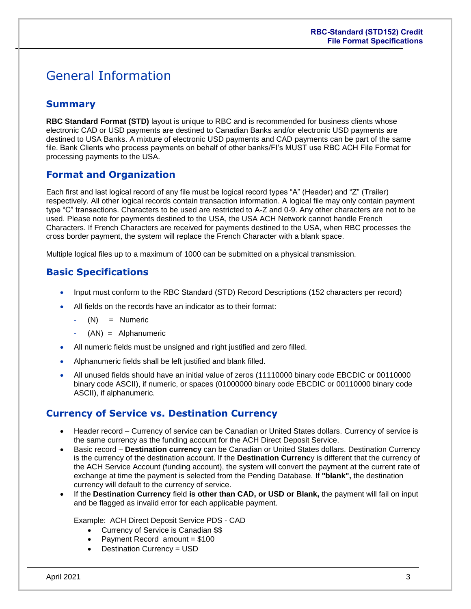# <span id="page-2-0"></span>General Information

## <span id="page-2-1"></span>**Summary**

**RBC Standard Format (STD)** layout is unique to RBC and is recommended for business clients whose electronic CAD or USD payments are destined to Canadian Banks and/or electronic USD payments are destined to USA Banks. A mixture of electronic USD payments and CAD payments can be part of the same file. Bank Clients who process payments on behalf of other banks/FI's MUST use RBC ACH File Format for processing payments to the USA.

### <span id="page-2-2"></span>**Format and Organization**

Each first and last logical record of any file must be logical record types "A" (Header) and "Z" (Trailer) respectively. All other logical records contain transaction information. A logical file may only contain payment type "C" transactions. Characters to be used are restricted to A-Z and 0-9. Any other characters are not to be used. Please note for payments destined to the USA, the USA ACH Network cannot handle French Characters. If French Characters are received for payments destined to the USA, when RBC processes the cross border payment, the system will replace the French Character with a blank space.

Multiple logical files up to a maximum of 1000 can be submitted on a physical transmission.

## <span id="page-2-3"></span>**Basic Specifications**

- Input must conform to the RBC Standard (STD) Record Descriptions (152 characters per record)
- All fields on the records have an indicator as to their format:
	- $(N) =$  Numeric
	- $(AN) =$  Alphanumeric
- All numeric fields must be unsigned and right justified and zero filled.
- Alphanumeric fields shall be left justified and blank filled.
- All unused fields should have an initial value of zeros (11110000 binary code EBCDIC or 00110000 binary code ASCII), if numeric, or spaces (01000000 binary code EBCDIC or 00110000 binary code ASCII), if alphanumeric.

### <span id="page-2-4"></span>**Currency of Service vs. Destination Currency**

- Header record Currency of service can be Canadian or United States dollars. Currency of service is the same currency as the funding account for the ACH Direct Deposit Service.
- **Basic record Destination currency** can be Canadian or United States dollars. Destination Currency is the currency of the destination account. If the **Destination Currenc**y is different that the currency of the ACH Service Account (funding account), the system will convert the payment at the current rate of exchange at time the payment is selected from the Pending Database. If **"blank",** the destination currency will default to the currency of service.
- If the **Destination Currency** field **is other than CAD, or USD or Blank,** the payment will fail on input and be flagged as invalid error for each applicable payment.

Example: ACH Direct Deposit Service PDS - CAD

- Currency of Service is Canadian \$\$
- Payment Record amount = \$100
- Destination Currency = USD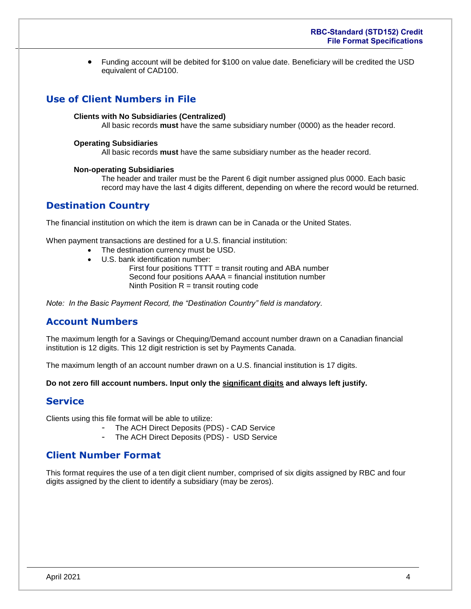Funding account will be debited for \$100 on value date. Beneficiary will be credited the USD equivalent of CAD100.

## <span id="page-3-0"></span>**Use of Client Numbers in File**

#### **Clients with No Subsidiaries (Centralized)**

All basic records **must** have the same subsidiary number (0000) as the header record.

#### **Operating Subsidiaries**

All basic records **must** have the same subsidiary number as the header record.

#### **Non-operating Subsidiaries**

The header and trailer must be the Parent 6 digit number assigned plus 0000. Each basic record may have the last 4 digits different, depending on where the record would be returned.

### <span id="page-3-1"></span>**Destination Country**

The financial institution on which the item is drawn can be in Canada or the United States.

When payment transactions are destined for a U.S. financial institution:

- The destination currency must be USD.
- U.S. bank identification number:

First four positions TTTT = transit routing and ABA number Second four positions AAAA = financial institution number Ninth Position  $R =$  transit routing code

*Note: In the Basic Payment Record, the "Destination Country" field is mandatory.* 

### <span id="page-3-2"></span>**Account Numbers**

The maximum length for a Savings or Chequing/Demand account number drawn on a Canadian financial institution is 12 digits. This 12 digit restriction is set by Payments Canada.

The maximum length of an account number drawn on a U.S. financial institution is 17 digits.

<span id="page-3-3"></span>**Do not zero fill account numbers. Input only the significant digits and always left justify.**

#### **Service**

Clients using this file format will be able to utilize:

- The ACH Direct Deposits (PDS) CAD Service
- The ACH Direct Deposits (PDS) USD Service

### <span id="page-3-4"></span>**Client Number Format**

This format requires the use of a ten digit client number, comprised of six digits assigned by RBC and four digits assigned by the client to identify a subsidiary (may be zeros).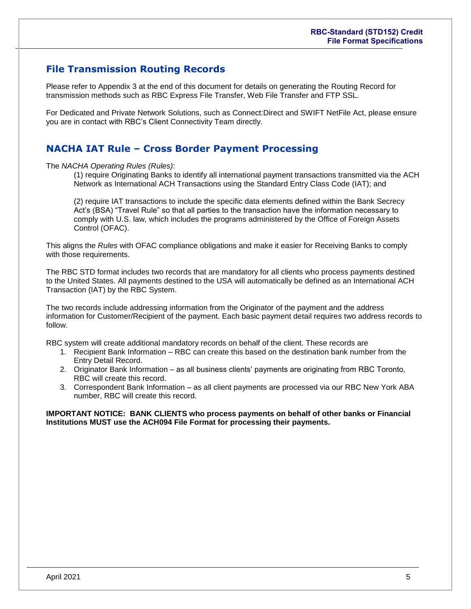## <span id="page-4-0"></span>**File Transmission Routing Records**

Please refer to Appendix 3 at the end of this document for details on generating the Routing Record for transmission methods such as RBC Express File Transfer, Web File Transfer and FTP SSL.

For Dedicated and Private Network Solutions, such as Connect:Direct and SWIFT NetFile Act, please ensure you are in contact with RBC's Client Connectivity Team directly.

### <span id="page-4-1"></span>**NACHA IAT Rule – Cross Border Payment Processing**

The *NACHA Operating Rules (Rules)*:

(1) require Originating Banks to identify all international payment transactions transmitted via the ACH Network as International ACH Transactions using the Standard Entry Class Code (IAT); and

(2) require IAT transactions to include the specific data elements defined within the Bank Secrecy Act's (BSA) "Travel Rule" so that all parties to the transaction have the information necessary to comply with U.S. law, which includes the programs administered by the Office of Foreign Assets Control (OFAC).

This aligns the *Rules* with OFAC compliance obligations and make it easier for Receiving Banks to comply with those requirements.

The RBC STD format includes two records that are mandatory for all clients who process payments destined to the United States. All payments destined to the USA will automatically be defined as an International ACH Transaction (IAT) by the RBC System.

The two records include addressing information from the Originator of the payment and the address information for Customer/Recipient of the payment. Each basic payment detail requires two address records to follow.

RBC system will create additional mandatory records on behalf of the client. These records are

- 1. Recipient Bank Information RBC can create this based on the destination bank number from the Entry Detail Record.
- 2. Originator Bank Information as all business clients' payments are originating from RBC Toronto, RBC will create this record.
- 3. Correspondent Bank Information as all client payments are processed via our RBC New York ABA number, RBC will create this record.

**IMPORTANT NOTICE: BANK CLIENTS who process payments on behalf of other banks or Financial Institutions MUST use the ACH094 File Format for processing their payments.**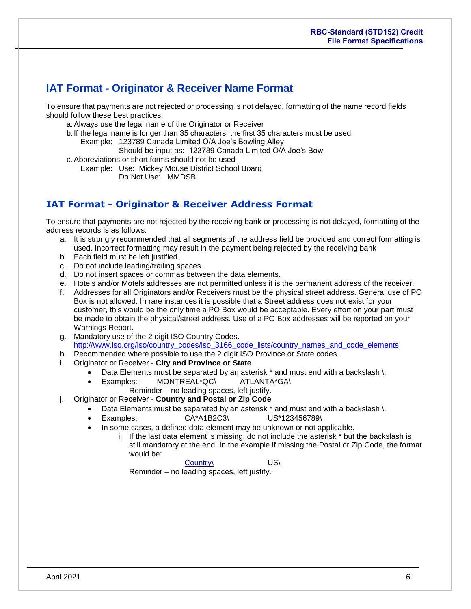# <span id="page-5-0"></span>**IAT Format - Originator & Receiver Name Format**

To ensure that payments are not rejected or processing is not delayed, formatting of the name record fields should follow these best practices:

- a.Always use the legal name of the Originator or Receiver
- b.If the legal name is longer than 35 characters, the first 35 characters must be used.

Example: 123789 Canada Limited O/A Joe's Bowling Alley

- Should be input as: 123789 Canada Limited O/A Joe's Bow
- c. Abbreviations or short forms should not be used
	- Example: Use: Mickey Mouse District School Board Do Not Use: MMDSB

## **IAT Format - Originator & Receiver Address Format**

To ensure that payments are not rejected by the receiving bank or processing is not delayed, formatting of the address records is as follows:

- a. It is strongly recommended that all segments of the address field be provided and correct formatting is used. Incorrect formatting may result in the payment being rejected by the receiving bank
- b. Each field must be left justified.
- c. Do not include leading/trailing spaces.
- d. Do not insert spaces or commas between the data elements.
- e. Hotels and/or Motels addresses are not permitted unless it is the permanent address of the receiver.
- f. Addresses for all Originators and/or Receivers must be the physical street address. General use of PO Box is not allowed. In rare instances it is possible that a Street address does not exist for your customer, this would be the only time a PO Box would be acceptable. Every effort on your part must be made to obtain the physical/street address. Use of a PO Box addresses will be reported on your Warnings Report.
- g. Mandatory use of the 2 digit ISO Country Codes. [http://www.iso.org/iso/country\\_codes/iso\\_3166\\_code\\_lists/country\\_names\\_and\\_code\\_elements](http://www.iso.org/iso/country_codes/iso_3166_code_lists/country_names_and_code_elements)
- h. Recommended where possible to use the 2 digit ISO Province or State codes.
- i. Originator or Receiver **City and Province or State**
	- Data Elements must be separated by an asterisk \* and must end with a backslash \.
	- Examples: MONTREAL\*QC\ ATLANTA\*GA\
	- Reminder no leading spaces, left justify.
- j. Originator or Receiver **Country and Postal or Zip Code**
	- Data Elements must be separated by an asterisk \* and must end with a backslash \.
	- Examples: CA\*A1B2C3\ US\*123456789\
	- In some cases, a defined data element may be unknown or not applicable.
		- i. If the last data element is missing, do not include the asterisk \* but the backslash is still mandatory at the end. In the example if missing the Postal or Zip Code, the format would be:

Country\ US\ Reminder – no leading spaces, left justify.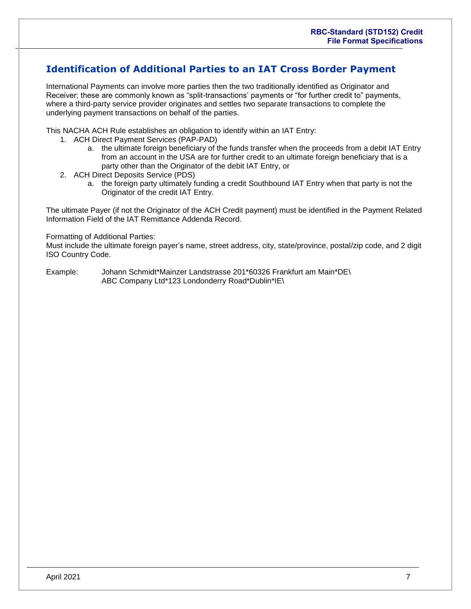## <span id="page-6-0"></span>**Identification of Additional Parties to an IAT Cross Border Payment**

International Payments can involve more parties then the two traditionally identified as Originator and Receiver; these are commonly known as "split-transactions' payments or "for further credit to" payments, where a third-party service provider originates and settles two separate transactions to complete the underlying payment transactions on behalf of the parties.

This NACHA ACH Rule establishes an obligation to identify within an IAT Entry:

- 1. ACH Direct Payment Services (PAP-PAD)
	- a. the ultimate foreign beneficiary of the funds transfer when the proceeds from a debit IAT Entry from an account in the USA are for further credit to an ultimate foreign beneficiary that is a party other than the Originator of the debit IAT Entry, or
- 2. ACH Direct Deposits Service (PDS)
	- a. the foreign party ultimately funding a credit Southbound IAT Entry when that party is not the Originator of the credit IAT Entry.

The ultimate Payer (if not the Originator of the ACH Credit payment) must be identified in the Payment Related Information Field of the IAT Remittance Addenda Record.

#### Formatting of Additional Parties:

Must include the ultimate foreign payer's name, street address, city, state/province, postal/zip code, and 2 digit ISO Country Code.

Example: Johann Schmidt\*Mainzer Landstrasse 201\*60326 Frankfurt am Main\*DE\ ABC Company Ltd\*123 Londonderry Road\*Dublin\*IE\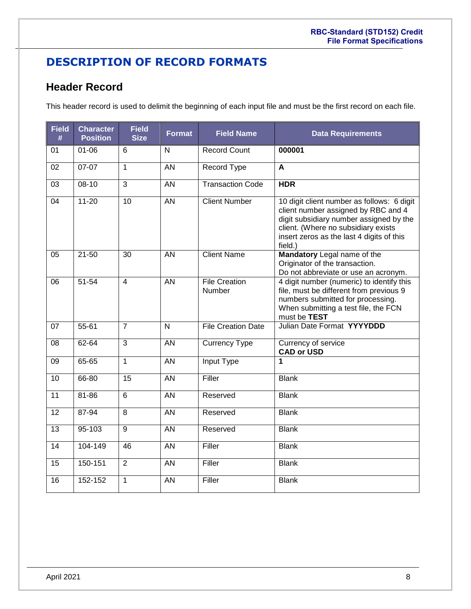# <span id="page-7-0"></span>**DESCRIPTION OF RECORD FORMATS**

## <span id="page-7-1"></span>**Header Record**

This header record is used to delimit the beginning of each input file and must be the first record on each file.

| <b>Field</b><br># | <b>Character</b><br><b>Position</b> | <b>Field</b><br><b>Size</b> | <b>Format</b>   | <b>Field Name</b>              | <b>Data Requirements</b>                                                                                                                                                                                                    |
|-------------------|-------------------------------------|-----------------------------|-----------------|--------------------------------|-----------------------------------------------------------------------------------------------------------------------------------------------------------------------------------------------------------------------------|
| 01                | $01 - 06$                           | 6                           | N               | <b>Record Count</b>            | 000001                                                                                                                                                                                                                      |
| 02                | $07-07$                             | $\mathbf{1}$                | AN              | <b>Record Type</b>             | $\mathbf{A}$                                                                                                                                                                                                                |
| 03                | $08 - 10$                           | $\overline{3}$              | $\overline{AN}$ | <b>Transaction Code</b>        | <b>HDR</b>                                                                                                                                                                                                                  |
| 04                | $11 - 20$                           | 10                          | $\overline{AN}$ | <b>Client Number</b>           | 10 digit client number as follows: 6 digit<br>client number assigned by RBC and 4<br>digit subsidiary number assigned by the<br>client. (Where no subsidiary exists<br>insert zeros as the last 4 digits of this<br>field.) |
| 05                | $21 - 50$                           | 30                          | <b>AN</b>       | <b>Client Name</b>             | Mandatory Legal name of the<br>Originator of the transaction.<br>Do not abbreviate or use an acronym.                                                                                                                       |
| 06                | $51 - 54$                           | $\overline{4}$              | AN              | <b>File Creation</b><br>Number | 4 digit number (numeric) to identify this<br>file, must be different from previous 9<br>numbers submitted for processing.<br>When submitting a test file, the FCN<br>must be TEST                                           |
| 07                | 55-61                               | $\overline{7}$              | N               | <b>File Creation Date</b>      | Julian Date Format YYYYDDD                                                                                                                                                                                                  |
| 08                | 62-64                               | $\overline{3}$              | <b>AN</b>       | <b>Currency Type</b>           | Currency of service<br><b>CAD or USD</b>                                                                                                                                                                                    |
| 09                | 65-65                               | $\mathbf{1}$                | $\overline{AN}$ | <b>Input Type</b>              | 1                                                                                                                                                                                                                           |
| 10                | 66-80                               | $\overline{15}$             | $\overline{AN}$ | Filler                         | <b>Blank</b>                                                                                                                                                                                                                |
| 11                | $81 - 86$                           | $\overline{6}$              | $\overline{AN}$ | Reserved                       | <b>Blank</b>                                                                                                                                                                                                                |
| $\overline{12}$   | 87-94                               | $\overline{8}$              | <b>AN</b>       | Reserved                       | <b>Blank</b>                                                                                                                                                                                                                |
| 13                | $95 - 103$                          | $\overline{9}$              | $\overline{AN}$ | Reserved                       | <b>Blank</b>                                                                                                                                                                                                                |
| 14                | 104-149                             | 46                          | <b>AN</b>       | Filler                         | <b>Blank</b>                                                                                                                                                                                                                |
| 15                | 150-151                             | $\overline{2}$              | $\overline{AN}$ | Filler                         | <b>Blank</b>                                                                                                                                                                                                                |
| 16                | 152-152                             | 1                           | <b>AN</b>       | Filler                         | <b>Blank</b>                                                                                                                                                                                                                |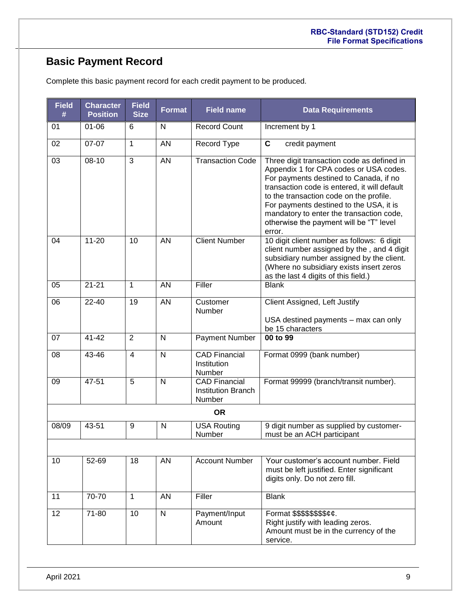# <span id="page-8-0"></span>**Basic Payment Record**

| <b>Field</b><br># | <b>Character</b><br><b>Position</b> | <b>Field</b><br><b>Size</b> | <b>Format</b> | <b>Field name</b>                                           | <b>Data Requirements</b>                                                                                                                                                                                                                                                                                                                                              |
|-------------------|-------------------------------------|-----------------------------|---------------|-------------------------------------------------------------|-----------------------------------------------------------------------------------------------------------------------------------------------------------------------------------------------------------------------------------------------------------------------------------------------------------------------------------------------------------------------|
| 01                | $01 - 06$                           | 6                           | N             | <b>Record Count</b>                                         | Increment by 1                                                                                                                                                                                                                                                                                                                                                        |
| 02                | 07-07                               | 1                           | AN            | Record Type                                                 | C<br>credit payment                                                                                                                                                                                                                                                                                                                                                   |
| 03                | $08 - 10$                           | 3                           | <b>AN</b>     | <b>Transaction Code</b>                                     | Three digit transaction code as defined in<br>Appendix 1 for CPA codes or USA codes.<br>For payments destined to Canada, if no<br>transaction code is entered, it will default<br>to the transaction code on the profile.<br>For payments destined to the USA, it is<br>mandatory to enter the transaction code,<br>otherwise the payment will be "T" level<br>error. |
| 04                | $11 - 20$                           | 10                          | <b>AN</b>     | <b>Client Number</b>                                        | 10 digit client number as follows: 6 digit<br>client number assigned by the, and 4 digit<br>subsidiary number assigned by the client.<br>(Where no subsidiary exists insert zeros<br>as the last 4 digits of this field.)                                                                                                                                             |
| 05                | $21 - 21$                           | 1                           | AN            | Filler                                                      | <b>Blank</b>                                                                                                                                                                                                                                                                                                                                                          |
| 06                | 22-40                               | 19                          | <b>AN</b>     | Customer<br>Number                                          | Client Assigned, Left Justify<br>USA destined payments - max can only<br>be 15 characters                                                                                                                                                                                                                                                                             |
| 07                | $41 - 42$                           | $\overline{2}$              | N             | <b>Payment Number</b>                                       | 00 to 99                                                                                                                                                                                                                                                                                                                                                              |
| 08                | 43-46                               | 4                           | $\mathsf{N}$  | <b>CAD Financial</b><br>Institution<br>Number               | Format 0999 (bank number)                                                                                                                                                                                                                                                                                                                                             |
| 09                | 47-51                               | 5                           | $\mathsf{N}$  | <b>CAD Financial</b><br><b>Institution Branch</b><br>Number | Format 99999 (branch/transit number).                                                                                                                                                                                                                                                                                                                                 |
|                   |                                     |                             |               | <b>OR</b>                                                   |                                                                                                                                                                                                                                                                                                                                                                       |
| 08/09             | 43-51                               | 9                           | N             | <b>USA Routing</b><br>Number                                | 9 digit number as supplied by customer-<br>must be an ACH participant                                                                                                                                                                                                                                                                                                 |
|                   |                                     |                             |               |                                                             |                                                                                                                                                                                                                                                                                                                                                                       |
| 10                | 52-69                               | 18                          | <b>AN</b>     | <b>Account Number</b>                                       | Your customer's account number. Field<br>must be left justified. Enter significant<br>digits only. Do not zero fill.                                                                                                                                                                                                                                                  |
| 11                | 70-70                               | 1                           | <b>AN</b>     | Filler                                                      | <b>Blank</b>                                                                                                                                                                                                                                                                                                                                                          |
| 12                | 71-80                               | 10                          | $\mathsf{N}$  | Payment/Input<br>Amount                                     | Format \$\$\$\$\$\$\$\$¢¢.<br>Right justify with leading zeros.<br>Amount must be in the currency of the<br>service.                                                                                                                                                                                                                                                  |

Complete this basic payment record for each credit payment to be produced.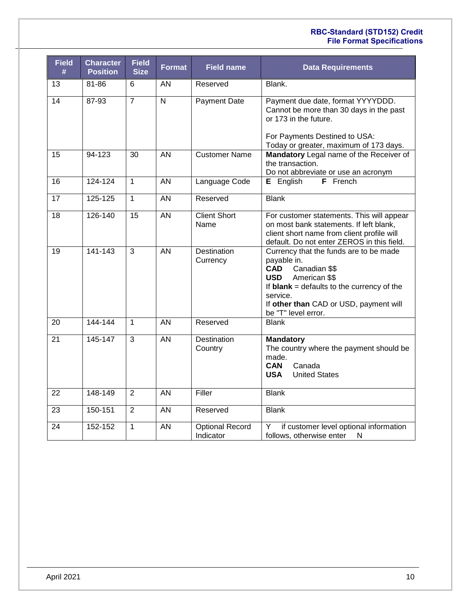#### **RBC-Standard (STD152) Credit File Format Specifications**

| <b>Field</b><br># | <b>Character</b><br><b>Position</b> | <b>Field</b><br><b>Size</b> | Format                  | <b>Field name</b>                   | <b>Data Requirements</b>                                                                                                                                                                                                                         |
|-------------------|-------------------------------------|-----------------------------|-------------------------|-------------------------------------|--------------------------------------------------------------------------------------------------------------------------------------------------------------------------------------------------------------------------------------------------|
| 13                | 81-86                               | 6                           | AN                      | Reserved                            | Blank.                                                                                                                                                                                                                                           |
| $\overline{14}$   | 87-93                               | $\overline{7}$              | $\overline{\mathsf{N}}$ | <b>Payment Date</b>                 | Payment due date, format YYYYDDD.<br>Cannot be more than 30 days in the past<br>or 173 in the future.<br>For Payments Destined to USA:<br>Today or greater, maximum of 173 days.                                                                 |
| 15                | 94-123                              | 30                          | AN                      | <b>Customer Name</b>                | Mandatory Legal name of the Receiver of<br>the transaction.<br>Do not abbreviate or use an acronym                                                                                                                                               |
| 16                | 124-124                             | $\mathbf{1}$                | AN                      | Language Code                       | F French<br><b>E</b> English                                                                                                                                                                                                                     |
| 17                | 125-125                             | $\mathbf{1}$                | AN                      | Reserved                            | <b>Blank</b>                                                                                                                                                                                                                                     |
| 18                | 126-140                             | 15                          | AN                      | <b>Client Short</b><br>Name         | For customer statements. This will appear<br>on most bank statements. If left blank,<br>client short name from client profile will<br>default. Do not enter ZEROS in this field.                                                                 |
| 19                | 141-143                             | 3                           | AN                      | <b>Destination</b><br>Currency      | Currency that the funds are to be made<br>payable in.<br><b>CAD</b><br>Canadian \$\$<br>American \$\$<br><b>USD</b><br>If $blank = defaults$ to the currency of the<br>service.<br>If other than CAD or USD, payment will<br>be "T" level error. |
| 20                | 144-144                             | $\mathbf{1}$                | AN                      | Reserved                            | <b>Blank</b>                                                                                                                                                                                                                                     |
| 21                | 145-147                             | 3                           | AN                      | Destination<br>Country              | <b>Mandatory</b><br>The country where the payment should be<br>made.<br>Canada<br><b>CAN</b><br><b>United States</b><br><b>USA</b>                                                                                                               |
| 22                | 148-149                             | 2                           | AN                      | Filler                              | <b>Blank</b>                                                                                                                                                                                                                                     |
| 23                | 150-151                             | $\overline{2}$              | AN                      | Reserved                            | <b>Blank</b>                                                                                                                                                                                                                                     |
| 24                | 152-152                             | $\mathbf{1}$                | AN                      | <b>Optional Record</b><br>Indicator | if customer level optional information<br>Y<br>follows, otherwise enter<br>${\sf N}$                                                                                                                                                             |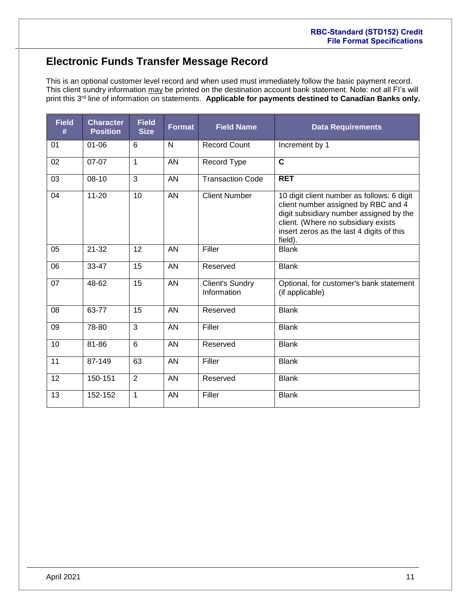# <span id="page-10-0"></span>**Electronic Funds Transfer Message Record**

This is an optional customer level record and when used must immediately follow the basic payment record. This client sundry information may be printed on the destination account bank statement. Note: not all FI's will print this 3rd line of information on statements. **Applicable for payments destined to Canadian Banks only.**

| <b>Field</b><br># | <b>Character</b><br><b>Position</b> | <b>Field</b><br><b>Size</b> | <b>Format</b> | <b>Field Name</b>                     | <b>Data Requirements</b>                                                                                                                                                                                                    |
|-------------------|-------------------------------------|-----------------------------|---------------|---------------------------------------|-----------------------------------------------------------------------------------------------------------------------------------------------------------------------------------------------------------------------------|
| 01                | $01 - 06$                           | 6                           | N             | <b>Record Count</b>                   | Increment by 1                                                                                                                                                                                                              |
| 02                | $07-07$                             | 1                           | <b>AN</b>     | Record Type                           | $\overline{\mathbf{c}}$                                                                                                                                                                                                     |
| 03                | $08 - 10$                           | 3                           | AN            | <b>Transaction Code</b>               | <b>RET</b>                                                                                                                                                                                                                  |
| 04                | $11 - 20$                           | 10                          | <b>AN</b>     | <b>Client Number</b>                  | 10 digit client number as follows: 6 digit<br>client number assigned by RBC and 4<br>digit subsidiary number assigned by the<br>client. (Where no subsidiary exists<br>insert zeros as the last 4 digits of this<br>field). |
| 05                | $21 - 32$                           | 12                          | AN            | Filler                                | <b>Blank</b>                                                                                                                                                                                                                |
| 06                | 33-47                               | 15                          | <b>AN</b>     | Reserved                              | <b>Blank</b>                                                                                                                                                                                                                |
| 07                | 48-62                               | 15                          | <b>AN</b>     | <b>Client's Sundry</b><br>Information | Optional, for customer's bank statement<br>(if applicable)                                                                                                                                                                  |
| 08                | 63-77                               | 15                          | <b>AN</b>     | Reserved                              | <b>Blank</b>                                                                                                                                                                                                                |
| 09                | 78-80                               | 3                           | AN            | Filler                                | <b>Blank</b>                                                                                                                                                                                                                |
| 10                | 81-86                               | 6                           | <b>AN</b>     | Reserved                              | <b>Blank</b>                                                                                                                                                                                                                |
| 11                | 87-149                              | 63                          | <b>AN</b>     | Filler                                | <b>Blank</b>                                                                                                                                                                                                                |
| 12                | 150-151                             | $\overline{2}$              | <b>AN</b>     | Reserved                              | <b>Blank</b>                                                                                                                                                                                                                |
| 13                | 152-152                             | $\mathbf{1}$                | <b>AN</b>     | Filler                                | <b>Blank</b>                                                                                                                                                                                                                |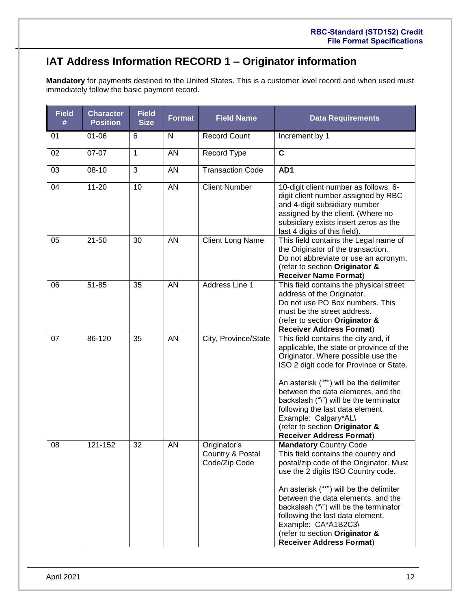# <span id="page-11-0"></span>**IAT Address Information RECORD 1 – Originator information**

**Mandatory** for payments destined to the United States. This is a customer level record and when used must immediately follow the basic payment record.

| <b>Field</b><br># | <b>Character</b><br><b>Position</b> | <b>Field</b><br><b>Size</b> | Format    | <b>Field Name</b>                                 | <b>Data Requirements</b>                                                                                                                                                                                                                                                                                                                                                                                                      |
|-------------------|-------------------------------------|-----------------------------|-----------|---------------------------------------------------|-------------------------------------------------------------------------------------------------------------------------------------------------------------------------------------------------------------------------------------------------------------------------------------------------------------------------------------------------------------------------------------------------------------------------------|
| 01                | $01 - 06$                           | 6                           | N         | <b>Record Count</b>                               | Increment by 1                                                                                                                                                                                                                                                                                                                                                                                                                |
| 02                | 07-07                               | 1                           | AN        | Record Type                                       | $\mathbf c$                                                                                                                                                                                                                                                                                                                                                                                                                   |
| 03                | $08 - 10$                           | 3                           | AN        | <b>Transaction Code</b>                           | AD1                                                                                                                                                                                                                                                                                                                                                                                                                           |
| 04                | $11 - 20$                           | 10                          | <b>AN</b> | <b>Client Number</b>                              | 10-digit client number as follows: 6-<br>digit client number assigned by RBC<br>and 4-digit subsidiary number<br>assigned by the client. (Where no<br>subsidiary exists insert zeros as the<br>last 4 digits of this field).                                                                                                                                                                                                  |
| 05                | $21 - 50$                           | 30                          | <b>AN</b> | <b>Client Long Name</b>                           | This field contains the Legal name of<br>the Originator of the transaction.<br>Do not abbreviate or use an acronym.<br>(refer to section Originator &<br><b>Receiver Name Format)</b>                                                                                                                                                                                                                                         |
| 06                | $51 - 85$                           | 35                          | AN        | Address Line 1                                    | This field contains the physical street<br>address of the Originator.<br>Do not use PO Box numbers. This<br>must be the street address.<br>(refer to section Originator &<br><b>Receiver Address Format)</b>                                                                                                                                                                                                                  |
| 07                | 86-120                              | 35                          | <b>AN</b> | City, Province/State                              | This field contains the city and, if<br>applicable, the state or province of the<br>Originator. Where possible use the<br>ISO 2 digit code for Province or State.<br>An asterisk ("*") will be the delimiter<br>between the data elements, and the<br>backslash ("\") will be the terminator<br>following the last data element.<br>Example: Calgary*AL\<br>(refer to section Originator &<br><b>Receiver Address Format)</b> |
| 08                | 121-152                             | 32                          | AN        | Originator's<br>Country & Postal<br>Code/Zip Code | <b>Mandatory Country Code</b><br>This field contains the country and<br>postal/zip code of the Originator. Must<br>use the 2 digits ISO Country code.<br>An asterisk ("*") will be the delimiter<br>between the data elements, and the<br>backslash ("\") will be the terminator<br>following the last data element.<br>Example: CA*A1B2C3\<br>(refer to section Originator &<br><b>Receiver Address Format)</b>              |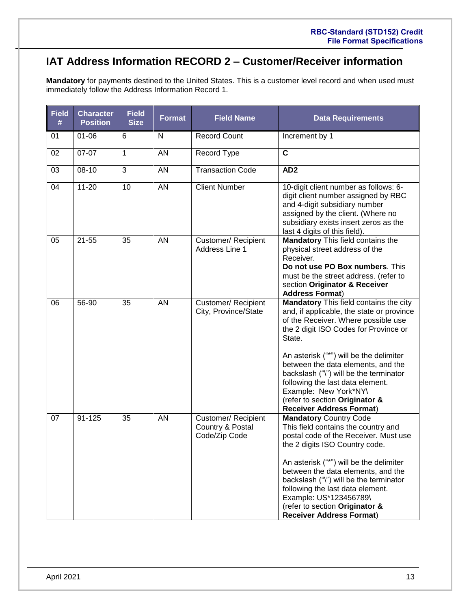# <span id="page-12-0"></span>**IAT Address Information RECORD 2 – Customer/Receiver information**

**Mandatory** for payments destined to the United States. This is a customer level record and when used must immediately follow the Address Information Record 1.

| <b>Field</b><br># | <b>Character</b><br><b>Position</b> | <b>Field</b><br><b>Size</b> | <b>Format</b> | <b>Field Name</b>                                        | <b>Data Requirements</b>                                                                                                                                                                                                                                                                                                                                                                                                                          |
|-------------------|-------------------------------------|-----------------------------|---------------|----------------------------------------------------------|---------------------------------------------------------------------------------------------------------------------------------------------------------------------------------------------------------------------------------------------------------------------------------------------------------------------------------------------------------------------------------------------------------------------------------------------------|
| 01                | $01 - 06$                           | 6                           | $\mathsf{N}$  | <b>Record Count</b>                                      | Increment by 1                                                                                                                                                                                                                                                                                                                                                                                                                                    |
| 02                | 07-07                               | $\mathbf{1}$                | AN            | Record Type                                              | $\mathbf c$                                                                                                                                                                                                                                                                                                                                                                                                                                       |
| 03                | $08 - 10$                           | 3                           | AN            | <b>Transaction Code</b>                                  | AD <sub>2</sub>                                                                                                                                                                                                                                                                                                                                                                                                                                   |
| 04                | $11 - 20$                           | 10                          | AN            | <b>Client Number</b>                                     | 10-digit client number as follows: 6-<br>digit client number assigned by RBC<br>and 4-digit subsidiary number<br>assigned by the client. (Where no<br>subsidiary exists insert zeros as the<br>last 4 digits of this field).                                                                                                                                                                                                                      |
| 05                | $21 - 55$                           | 35                          | AN            | Customer/Recipient<br>Address Line 1                     | <b>Mandatory This field contains the</b><br>physical street address of the<br>Receiver.<br>Do not use PO Box numbers. This<br>must be the street address. (refer to<br>section Originator & Receiver<br><b>Address Format)</b>                                                                                                                                                                                                                    |
| 06                | 56-90                               | 35                          | AN            | Customer/ Recipient<br>City, Province/State              | <b>Mandatory</b> This field contains the city<br>and, if applicable, the state or province<br>of the Receiver. Where possible use<br>the 2 digit ISO Codes for Province or<br>State.<br>An asterisk ("*") will be the delimiter<br>between the data elements, and the<br>backslash ("\") will be the terminator<br>following the last data element.<br>Example: New York*NY\<br>(refer to section Originator &<br><b>Receiver Address Format)</b> |
| 07                | 91-125                              | 35                          | <b>AN</b>     | Customer/ Recipient<br>Country & Postal<br>Code/Zip Code | <b>Mandatory Country Code</b><br>This field contains the country and<br>postal code of the Receiver. Must use<br>the 2 digits ISO Country code.<br>An asterisk ("*") will be the delimiter<br>between the data elements, and the<br>backslash ("\") will be the terminator<br>following the last data element.<br>Example: US*123456789\<br>(refer to section Originator &<br><b>Receiver Address Format)</b>                                     |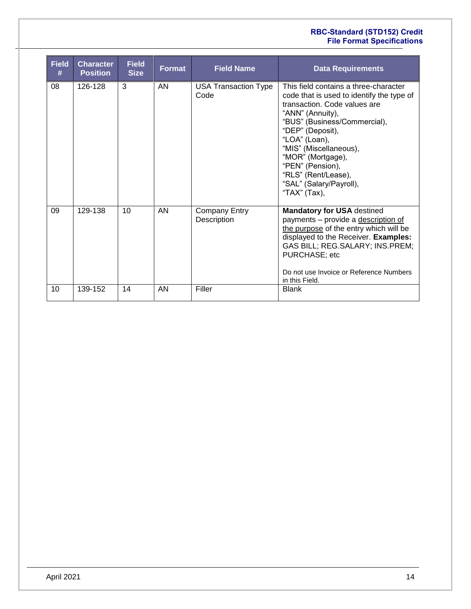#### **RBC-Standard (STD152) Credit File Format Specifications**

| <b>Field</b><br># | <b>Character</b><br><b>Position</b> | <b>Field</b><br><b>Size</b> | Format | <b>Field Name</b>                   | <b>Data Requirements</b>                                                                                                                                                                                                                                                                                                                         |
|-------------------|-------------------------------------|-----------------------------|--------|-------------------------------------|--------------------------------------------------------------------------------------------------------------------------------------------------------------------------------------------------------------------------------------------------------------------------------------------------------------------------------------------------|
| 08                | 126-128                             | 3                           | AN     | <b>USA Transaction Type</b><br>Code | This field contains a three-character<br>code that is used to identify the type of<br>transaction. Code values are<br>"ANN" (Annuity),<br>"BUS" (Business/Commercial),<br>"DEP" (Deposit),<br>"LOA" (Loan),<br>"MIS" (Miscellaneous),<br>"MOR" (Mortgage),<br>"PEN" (Pension),<br>"RLS" (Rent/Lease),<br>"SAL" (Salary/Payroll),<br>"TAX" (Tax), |
| 09                | 129-138                             | 10                          | AN     | <b>Company Entry</b><br>Description | <b>Mandatory for USA destined</b><br>payments - provide a description of<br>the purpose of the entry which will be<br>displayed to the Receiver. Examples:<br>GAS BILL; REG.SALARY; INS.PREM;<br>PURCHASE; etc<br>Do not use Invoice or Reference Numbers<br>in this Field.                                                                      |
| 10                | 139-152                             | 14                          | AN     | Filler                              | <b>Blank</b>                                                                                                                                                                                                                                                                                                                                     |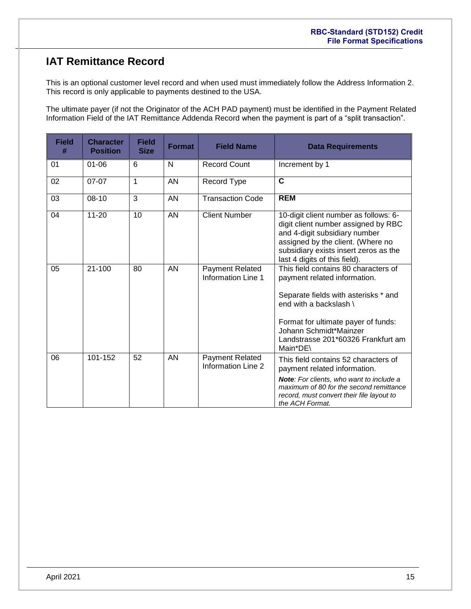# <span id="page-14-0"></span>**IAT Remittance Record**

This is an optional customer level record and when used must immediately follow the Address Information 2. This record is only applicable to payments destined to the USA.

The ultimate payer (if not the Originator of the ACH PAD payment) must be identified in the Payment Related Information Field of the IAT Remittance Addenda Record when the payment is part of a "split transaction".

| <b>Field</b><br># | <b>Character</b><br><b>Position</b> | <b>Field</b><br><b>Size</b> | <b>Format</b> | <b>Field Name</b>                                   | <b>Data Requirements</b>                                                                                                                                                                                                                                  |
|-------------------|-------------------------------------|-----------------------------|---------------|-----------------------------------------------------|-----------------------------------------------------------------------------------------------------------------------------------------------------------------------------------------------------------------------------------------------------------|
| 01                | $01 - 06$                           | 6                           | N             | <b>Record Count</b>                                 | Increment by 1                                                                                                                                                                                                                                            |
| 02                | 07-07                               | 1                           | <b>AN</b>     | Record Type                                         | $\mathbf C$                                                                                                                                                                                                                                               |
| 03                | $08-10$                             | 3                           | AN            | <b>Transaction Code</b>                             | <b>REM</b>                                                                                                                                                                                                                                                |
| 04                | $11 - 20$                           | 10                          | <b>AN</b>     | <b>Client Number</b>                                | 10-digit client number as follows: 6-<br>digit client number assigned by RBC<br>and 4-digit subsidiary number<br>assigned by the client. (Where no<br>subsidiary exists insert zeros as the<br>last 4 digits of this field).                              |
| 05                | $21 - 100$                          | 80                          | <b>AN</b>     | <b>Payment Related</b><br><b>Information Line 1</b> | This field contains 80 characters of<br>payment related information.<br>Separate fields with asterisks * and<br>end with a backslash \<br>Format for ultimate payer of funds:<br>Johann Schmidt*Mainzer<br>Landstrasse 201*60326 Frankfurt am<br>Main*DE\ |
| 06                | 101-152                             | 52                          | AN            | Payment Related<br>Information Line 2               | This field contains 52 characters of<br>payment related information.<br><b>Note:</b> For clients, who want to include a<br>maximum of 80 for the second remittance<br>record, must convert their file layout to<br>the ACH Format.                        |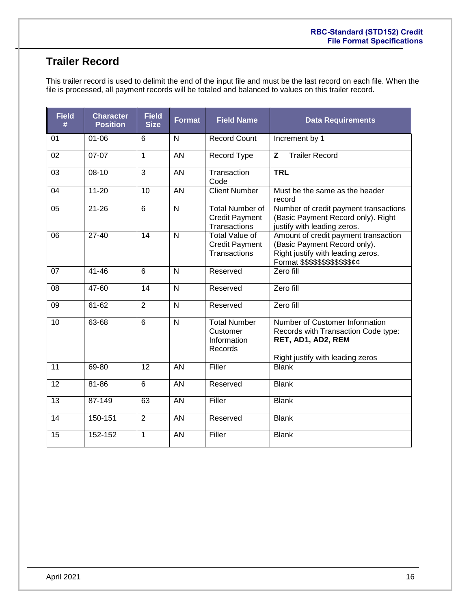# <span id="page-15-0"></span>**Trailer Record**

This trailer record is used to delimit the end of the input file and must be the last record on each file. When the file is processed, all payment records will be totaled and balanced to values on this trailer record.

| <b>Field</b><br># | <b>Character</b><br><b>Position</b> | <b>Field</b><br><b>Size</b> | <b>Format</b>           | <b>Field Name</b>                                               | <b>Data Requirements</b>                                                                                                                               |
|-------------------|-------------------------------------|-----------------------------|-------------------------|-----------------------------------------------------------------|--------------------------------------------------------------------------------------------------------------------------------------------------------|
| 01                | $01 - 06$                           | 6                           | $\mathsf{N}$            | <b>Record Count</b>                                             | Increment by 1                                                                                                                                         |
| 02                | $07 - 07$                           | $\mathbf{1}$                | AN                      | Record Type                                                     | <b>Trailer Record</b><br>Z                                                                                                                             |
| 03                | $08 - 10$                           | 3                           | <b>AN</b>               | Transaction<br>Code                                             | <b>TRL</b>                                                                                                                                             |
| 04                | $11 - 20$                           | 10                          | <b>AN</b>               | <b>Client Number</b>                                            | Must be the same as the header<br>record                                                                                                               |
| 05                | $21 - 26$                           | 6                           | $\overline{N}$          | <b>Total Number of</b><br><b>Credit Payment</b><br>Transactions | Number of credit payment transactions<br>(Basic Payment Record only). Right<br>justify with leading zeros.                                             |
| 06                | $27 - 40$                           | 14                          | N                       | <b>Total Value of</b><br><b>Credit Payment</b><br>Transactions  | Amount of credit payment transaction<br>(Basic Payment Record only).<br>Right justify with leading zeros.<br>Format \$\$\$\$\$\$\$\$\$\$\$\$ <i>¢¢</i> |
| 07                | $41 - 46$                           | 6                           | $\mathsf{N}$            | Reserved                                                        | Zero fill                                                                                                                                              |
| 08                | 47-60                               | 14                          | N                       | Reserved                                                        | Zero fill                                                                                                                                              |
| 09                | 61-62                               | $\overline{2}$              | $\mathsf{N}$            | Reserved                                                        | Zero fill                                                                                                                                              |
| 10                | 63-68                               | $\overline{6}$              | $\overline{\mathsf{N}}$ | <b>Total Number</b><br>Customer<br>Information<br>Records       | Number of Customer Information<br>Records with Transaction Code type:<br>RET, AD1, AD2, REM<br>Right justify with leading zeros                        |
| 11                | 69-80                               | 12                          | AN                      | Filler                                                          | <b>Blank</b>                                                                                                                                           |
| 12                | 81-86                               | 6                           | AN                      | Reserved                                                        | <b>Blank</b>                                                                                                                                           |
| 13                | 87-149                              | 63                          | AN                      | Filler                                                          | <b>Blank</b>                                                                                                                                           |
| 14                | 150-151                             | $\overline{2}$              | AN                      | Reserved                                                        | <b>Blank</b>                                                                                                                                           |
| 15                | 152-152                             | $\mathbf{1}$                | AN                      | Filler                                                          | <b>Blank</b>                                                                                                                                           |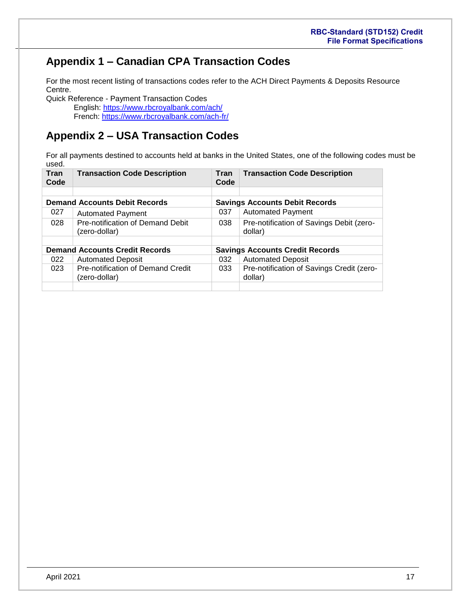# <span id="page-16-0"></span>**Appendix 1 – Canadian CPA Transaction Codes**

For the most recent listing of transactions codes refer to the ACH Direct Payments & Deposits Resource Centre.

Quick Reference - Payment Transaction Codes English: <https://www.rbcroyalbank.com/ach/> French: [https://www.rbcroyalbank.com/ach-fr/](../%09https:/www.rbcroyalbank.com/ach-fr/)

# <span id="page-16-1"></span>**Appendix 2 – USA Transaction Codes**

For all payments destined to accounts held at banks in the United States, one of the following codes must be used.

| Tran<br>Code | <b>Transaction Code Description</b>                | Tran<br>Code | <b>Transaction Code Description</b>                  |  |  |
|--------------|----------------------------------------------------|--------------|------------------------------------------------------|--|--|
|              |                                                    |              |                                                      |  |  |
|              | <b>Demand Accounts Debit Records</b>               |              | <b>Savings Accounts Debit Records</b>                |  |  |
| 027          | <b>Automated Payment</b>                           | 037          | <b>Automated Payment</b>                             |  |  |
| 028          | Pre-notification of Demand Debit<br>(zero-dollar)  | 038          | Pre-notification of Savings Debit (zero-<br>dollar)  |  |  |
|              |                                                    |              |                                                      |  |  |
|              | <b>Demand Accounts Credit Records</b>              |              | <b>Savings Accounts Credit Records</b>               |  |  |
| 022          | <b>Automated Deposit</b>                           | 032          | <b>Automated Deposit</b>                             |  |  |
| 023          | Pre-notification of Demand Credit<br>(zero-dollar) | 033          | Pre-notification of Savings Credit (zero-<br>dollar) |  |  |
|              |                                                    |              |                                                      |  |  |